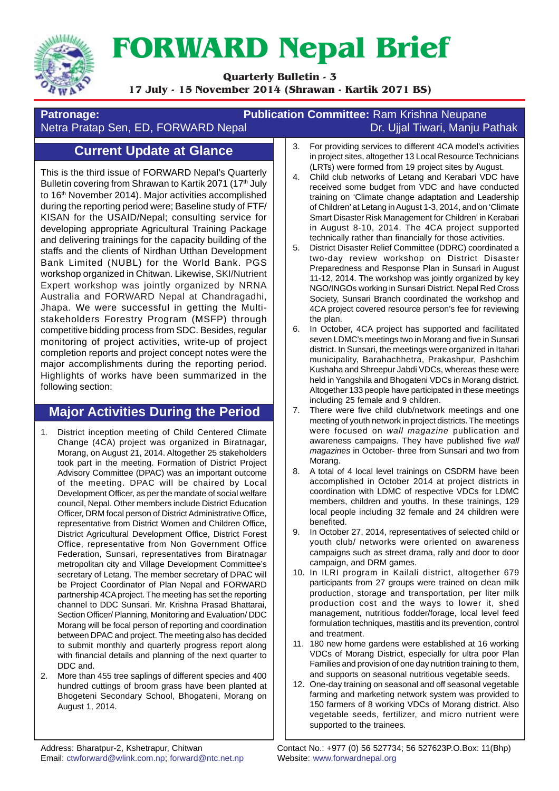

# **FORWARD Nepal Brief**

**Quarterly Bulletin - 3**

**17 July - 15 November 2014 (Shrawan - Kartik 2071 BS)**

#### **Patronage: Publication Committee:** Ram Krishna Neupane Netra Pratap Sen, ED, FORWARD Nepal Dr. Dr. Ujjal Tiwari, Manju Pathak

## **Current Update at Glance**

This is the third issue of FORWARD Nepal's Quarterly Bulletin covering from Shrawan to Kartik 2071 (17<sup>th</sup> July to 16<sup>th</sup> November 2014). Major activities accomplished during the reporting period were; Baseline study of FTF/ KISAN for the USAID/Nepal; consulting service for developing appropriate Agricultural Training Package and delivering trainings for the capacity building of the staffs and the clients of Nirdhan Utthan Development Bank Limited (NUBL) for the World Bank. PGS workshop organized in Chitwan. Likewise, SKI/Nutrient Expert workshop was jointly organized by NRNA Australia and FORWARD Nepal at Chandragadhi, Jhapa. We were successful in getting the Multistakeholders Forestry Program (MSFP) through competitive bidding process from SDC. Besides, regular monitoring of project activities, write-up of project completion reports and project concept notes were the major accomplishments during the reporting period. Highlights of works have been summarized in the following section:

### **Major Activities During the Period**

- 1. District inception meeting of Child Centered Climate Change (4CA) project was organized in Biratnagar, Morang, on August 21, 2014. Altogether 25 stakeholders took part in the meeting. Formation of District Project Advisory Committee (DPAC) was an important outcome of the meeting. DPAC will be chaired by Local Development Officer, as per the mandate of social welfare council, Nepal. Other members include District Education Officer, DRM focal person of District Administrative Office, representative from District Women and Children Office, District Agricultural Development Office, District Forest Office, representative from Non Government Office Federation, Sunsari, representatives from Biratnagar metropolitan city and Village Development Committee's secretary of Letang. The member secretary of DPAC will be Project Coordinator of Plan Nepal and FORWARD partnership 4CA project. The meeting has set the reporting channel to DDC Sunsari. Mr. Krishna Prasad Bhattarai, Section Officer/ Planning, Monitoring and Evaluation/ DDC Morang will be focal person of reporting and coordination between DPAC and project. The meeting also has decided to submit monthly and quarterly progress report along with financial details and planning of the next quarter to DDC and.
- 2. More than 455 tree saplings of different species and 400 hundred cuttings of broom grass have been planted at Bhogeteni Secondary School, Bhogateni, Morang on August 1, 2014.
- 3. For providing services to different 4CA model's activities in project sites, altogether 13 Local Resource Technicians (LRTs) were formed from 19 project sites by August.
- 4. Child club networks of Letang and Kerabari VDC have received some budget from VDC and have conducted training on 'Climate change adaptation and Leadership of Children' at Letang in August 1-3, 2014, and on 'Climate Smart Disaster Risk Management for Children' in Kerabari in August 8-10, 2014. The 4CA project supported technically rather than financially for those activities.
- 5. District Disaster Relief Committee (DDRC) coordinated a two-day review workshop on District Disaster Preparedness and Response Plan in Sunsari in August 11-12, 2014. The workshop was jointly organized by key NGO/INGOs working in Sunsari District. Nepal Red Cross Society, Sunsari Branch coordinated the workshop and 4CA project covered resource person's fee for reviewing the plan.
- 6. In October, 4CA project has supported and facilitated seven LDMC's meetings two in Morang and five in Sunsari district. In Sunsari, the meetings were organized in Itahari municipality, Barahachhetra, Prakashpur, Pashchim Kushaha and Shreepur Jabdi VDCs, whereas these were held in Yangshila and Bhogateni VDCs in Morang district. Altogether 133 people have participated in these meetings including 25 female and 9 children.
- 7. There were five child club/network meetings and one meeting of youth network in project districts. The meetings were focused on *wall magazine* publication and awareness campaigns. They have published five *wall magazines* in October- three from Sunsari and two from Morang.
- 8. A total of 4 local level trainings on CSDRM have been accomplished in October 2014 at project districts in coordination with LDMC of respective VDCs for LDMC members, children and youths. In these trainings, 129 local people including 32 female and 24 children were benefited.
- 9. In October 27, 2014, representatives of selected child or youth club/ networks were oriented on awareness campaigns such as street drama, rally and door to door campaign, and DRM games.
- 10. In ILRI program in Kailali district, altogether 679 participants from 27 groups were trained on clean milk production, storage and transportation, per liter milk production cost and the ways to lower it, shed management, nutritious fodder/forage, local level feed formulation techniques, mastitis and its prevention, control and treatment.
- 11. 180 new home gardens were established at 16 working VDCs of Morang District, especially for ultra poor Plan Families and provision of one day nutrition training to them, and supports on seasonal nutritious vegetable seeds.
- 12. One-day training on seasonal and off seasonal vegetable farming and marketing network system was provided to 150 farmers of 8 working VDCs of Morang district. Also vegetable seeds, fertilizer, and micro nutrient were supported to the trainees.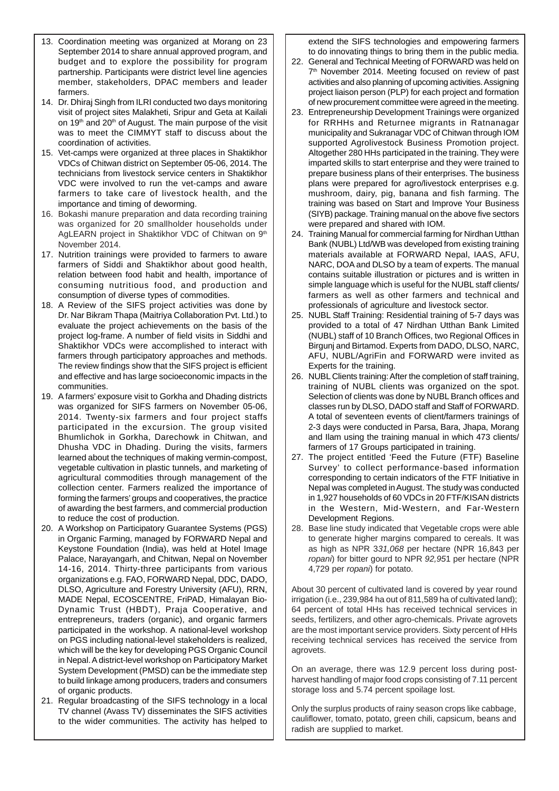- 13. Coordination meeting was organized at Morang on 23 September 2014 to share annual approved program, and budget and to explore the possibility for program partnership. Participants were district level line agencies member, stakeholders, DPAC members and leader farmers.
- 14. Dr. Dhiraj Singh from ILRI conducted two days monitoring visit of project sites Malakheti, Sripur and Geta at Kailali on 19<sup>th</sup> and 20<sup>th</sup> of August. The main purpose of the visit was to meet the CIMMYT staff to discuss about the coordination of activities.
- 15. Vet-camps were organized at three places in Shaktikhor VDCs of Chitwan district on September 05-06, 2014. The technicians from livestock service centers in Shaktikhor VDC were involved to run the vet-camps and aware farmers to take care of livestock health, and the importance and timing of deworming.
- 16. Bokashi manure preparation and data recording training was organized for 20 smallholder households under AgLEARN project in Shaktikhor VDC of Chitwan on 9<sup>th</sup> November 2014.
- 17. Nutrition trainings were provided to farmers to aware farmers of Siddi and Shaktikhor about good health, relation between food habit and health, importance of consuming nutritious food, and production and consumption of diverse types of commodities.
- 18. A Review of the SIFS project activities was done by Dr. Nar Bikram Thapa (Maitriya Collaboration Pvt. Ltd.) to evaluate the project achievements on the basis of the project log-frame. A number of field visits in Siddhi and Shaktikhor VDCs were accomplished to interact with farmers through participatory approaches and methods. The review findings show that the SIFS project is efficient and effective and has large socioeconomic impacts in the communities.
- 19. A farmers' exposure visit to Gorkha and Dhading districts was organized for SIFS farmers on November 05-06, 2014. Twenty-six farmers and four project staffs participated in the excursion. The group visited Bhumlichok in Gorkha, Darechowk in Chitwan, and Dhusha VDC in Dhading. During the visits, farmers learned about the techniques of making vermin-compost, vegetable cultivation in plastic tunnels, and marketing of agricultural commodities through management of the collection center. Farmers realized the importance of forming the farmers' groups and cooperatives, the practice of awarding the best farmers, and commercial production to reduce the cost of production.
- 20. A Workshop on Participatory Guarantee Systems (PGS) in Organic Farming, managed by FORWARD Nepal and Keystone Foundation (India), was held at Hotel Image Palace, Narayangarh, and Chitwan, Nepal on November 14-16, 2014. Thirty-three participants from various organizations e.g. FAO, FORWARD Nepal, DDC, DADO, DLSO, Agriculture and Forestry University (AFU), RRN, MADE Nepal, ECOSCENTRE, FriPAD, Himalayan Bio-Dynamic Trust (HBDT), Praja Cooperative, and entrepreneurs, traders (organic), and organic farmers participated in the workshop. A national-level workshop on PGS including national-level stakeholders is realized, which will be the key for developing PGS Organic Council in Nepal. A district-level workshop on Participatory Market System Development (PMSD) can be the immediate step to build linkage among producers, traders and consumers of organic products.
- 21. Regular broadcasting of the SIFS technology in a local TV channel (Avass TV) disseminates the SIFS activities to the wider communities. The activity has helped to

extend the SIFS technologies and empowering farmers to do innovating things to bring them in the public media.

- 22. General and Technical Meeting of FORWARD was held on 7<sup>th</sup> November 2014. Meeting focused on review of past activities and also planning of upcoming activities. Assigning project liaison person (PLP) for each project and formation of new procurement committee were agreed in the meeting.
- 23. Entrepreneurship Development Trainings were organized for RRHHs and Returnee migrants in Ratnanagar municipality and Sukranagar VDC of Chitwan through IOM supported Agrolivestock Business Promotion project. Altogether 280 HHs participated in the training. They were imparted skills to start enterprise and they were trained to prepare business plans of their enterprises. The business plans were prepared for agro/livestock enterprises e.g. mushroom, dairy, pig, banana and fish farming. The training was based on Start and Improve Your Business (SIYB) package. Training manual on the above five sectors were prepared and shared with IOM.
- 24. Training Manual for commercial farming for Nirdhan Utthan Bank (NUBL) Ltd/WB was developed from existing training materials available at FORWARD Nepal, IAAS, AFU, NARC, DOA and DLSO by a team of experts. The manual contains suitable illustration or pictures and is written in simple language which is useful for the NUBL staff clients/ farmers as well as other farmers and technical and professionals of agriculture and livestock sector.
- 25. NUBL Staff Training: Residential training of 5-7 days was provided to a total of 47 Nirdhan Utthan Bank Limited (NUBL) staff of 10 Branch Offices, two Regional Offices in Birgunj and Birtamod. Experts from DADO, DLSO, NARC, AFU, NUBL/AgriFin and FORWARD were invited as Experts for the training.
- 26. NUBL Clients training: After the completion of staff training, training of NUBL clients was organized on the spot. Selection of clients was done by NUBL Branch offices and classes run by DLSO, DADO staff and Staff of FORWARD. A total of seventeen events of client/farmers trainings of 2-3 days were conducted in Parsa, Bara, Jhapa, Morang and Ilam using the training manual in which 473 clients/ farmers of 17 Groups participated in training.
- 27. The project entitled 'Feed the Future (FTF) Baseline Survey' to collect performance-based information corresponding to certain indicators of the FTF Initiative in Nepal was completed in August. The study was conducted in 1,927 households of 60 VDCs in 20 FTF/KISAN districts in the Western, Mid-Western, and Far-Western Development Regions.
- 28. Base line study indicated that Vegetable crops were able to generate higher margins compared to cereals. It was as high as NPR 3*31,068* per hectare (NPR 16,843 per *ropani*) for bitter gourd to NPR *92,95*1 per hectare (NPR 4,729 per *ropani*) for potato.

About 30 percent of cultivated land is covered by year round irrigation (i.e., 239,984 ha out of 811,589 ha of cultivated land); 64 percent of total HHs has received technical services in seeds, fertilizers, and other agro-chemicals. Private agrovets are the most important service providers. Sixty percent of HHs receiving technical services has received the service from agrovets.

On an average, there was 12.9 percent loss during postharvest handling of major food crops consisting of 7.11 percent storage loss and 5.74 percent spoilage lost.

Only the surplus products of rainy season crops like cabbage, cauliflower, tomato, potato, green chili, capsicum, beans and radish are supplied to market.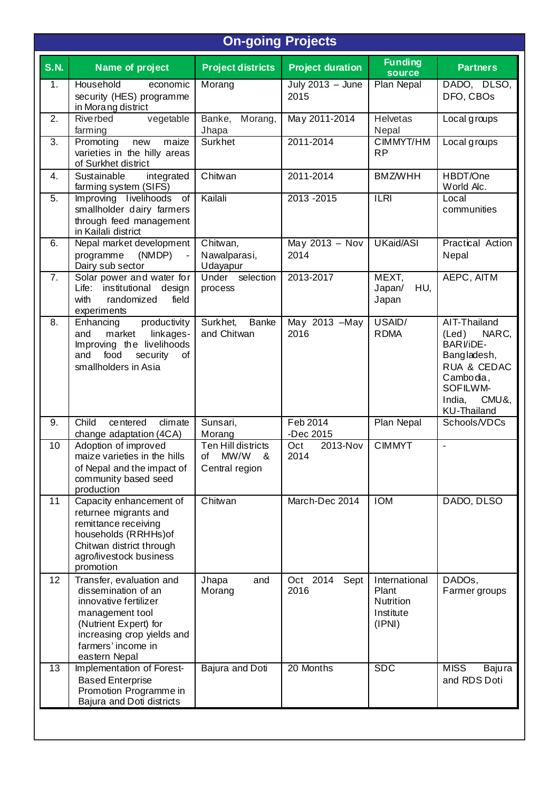## **On-going Projects**

| <b>S.N.</b>      | Name of project                                                                                                                                                                           | <b>Project districts</b>                                | <b>Project duration</b>    | <b>Funding</b><br><b>source</b>                            | <b>Partners</b>                                                                                                                                   |
|------------------|-------------------------------------------------------------------------------------------------------------------------------------------------------------------------------------------|---------------------------------------------------------|----------------------------|------------------------------------------------------------|---------------------------------------------------------------------------------------------------------------------------------------------------|
| 1.               | Household<br>economic<br>security (HES) programme<br>in Morang district                                                                                                                   | Morang                                                  | July $2013 -$ June<br>2015 | Plan Nepal                                                 | DADO, DLSO,<br>DFO, CBOs                                                                                                                          |
| 2.               | vegetable<br>Rive rbed<br>farming                                                                                                                                                         | Banke,<br>Morang,<br>Jhapa                              | May 2011-2014              | <b>Helvetas</b><br>Nepal                                   | Local groups                                                                                                                                      |
| 3.               | Promoting<br>maize<br>new<br>varieties in the hilly areas<br>of Surkhet district                                                                                                          | Surkhet                                                 | 2011-2014                  | CIMMYT/HM<br><b>RP</b>                                     | Local groups                                                                                                                                      |
| 4.               | Sustainable<br>integrated<br>farming system (SIFS)                                                                                                                                        | Chitwan                                                 | 2011-2014                  | <b>BMZ/WHH</b>                                             | HBDT/One<br>World Alc.                                                                                                                            |
| $\overline{5}$ . | Improving livelihoods<br>of<br>smallholder dairy farmers<br>through feed management<br>in Kailali district                                                                                | Kailali                                                 | $2013 - 2015$              | <b>ILRI</b>                                                | Local<br>communities                                                                                                                              |
| 6.               | Nepal market development<br>programme<br>(NMDP)<br>Dairy sub sector                                                                                                                       | Chitwan,<br>Nawalparasi,<br>Udayapur                    | May $2013 - Nov$<br>2014   | UKaid/ASI                                                  | Practical Action<br>Nepal                                                                                                                         |
| 7.               | Solar power and water for<br>institutional<br>Life:<br>design<br>with<br>randomized<br>field<br>experiments                                                                               | Under selection<br>process                              | 2013-2017                  | MEXT,<br>Japan/<br>HU,<br>Japan                            | AEPC, AITM                                                                                                                                        |
| 8.               | productivity<br>Enhancing<br>and<br>market<br>linkages-<br>Improving the livelihoods<br>food<br>and<br>security<br>οf<br>smallholders in Asia                                             | Surkhet,<br><b>Banke</b><br>and Chitwan                 | May 2013 - May<br>2016     | USAID/<br><b>RDMA</b>                                      | AIT-Thailand<br>NARC,<br>$($ Led $)$<br>BARI/iDE-<br>Bangladesh,<br>RUA & CEDAC<br>Cambodia,<br>SOFILWM-<br>India,<br>CMU&,<br><b>KU-Thailand</b> |
| 9.               | Child<br>dim <sub>ate</sub><br>centered<br>change adaptation (4CA)                                                                                                                        | Sunsari,<br>Morang                                      | Feb 2014<br>-Dec 2015      | Plan Nepal                                                 | Schools/VDCs                                                                                                                                      |
| 10               | Adoption of improved<br>maize varieties in the hills<br>of Nepal and the impact of<br>community based seed<br>production                                                                  | Ten Hill districts<br>MW/W<br>of<br>&<br>Central region | 2013-Nov<br>Oct<br>2014    | <b>CIMMYT</b>                                              | $\blacksquare$                                                                                                                                    |
| 11               | Capacity enhancement of<br>returnee migrants and<br>remittance receiving<br>households (RRHHs) of<br>Chitwan district through<br>agro/livestock business<br>promotion                     | Chitwan                                                 | March-Dec 2014             | <b>IOM</b>                                                 | DADO, DLSO                                                                                                                                        |
| 12               | Transfer, evaluation and<br>dissemination of an<br>innovative fertilizer<br>management tool<br>(Nutrient Expert) for<br>increasing crop yields and<br>farmers' income in<br>eastern Nepal | and<br>Jhapa<br>Morang                                  | Oct 2014<br>Sept<br>2016   | International<br>Plant<br>Nutrition<br>Institute<br>(IPNI) | DADOs,<br>Farmer groups                                                                                                                           |
| 13               | Implementation of Forest-<br><b>Based Enterprise</b><br>Promotion Programme in<br>Bajura and Doti districts                                                                               | Bajura and Doti                                         | 20 Months                  | <b>SDC</b>                                                 | <b>MISS</b><br>Bajura<br>and RDS Doti                                                                                                             |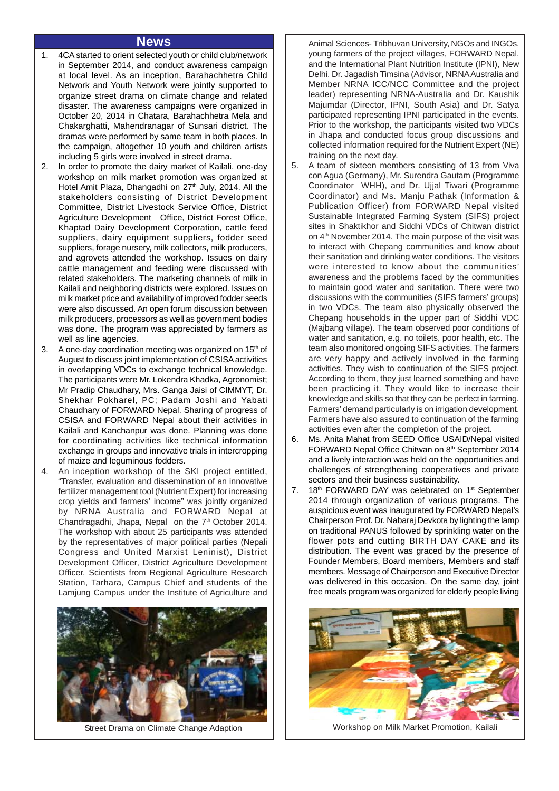#### **News**

- 1. 4CA started to orient selected youth or child club/network in September 2014, and conduct awareness campaign at local level. As an inception, Barahachhetra Child Network and Youth Network were jointly supported to organize street drama on climate change and related disaster. The awareness campaigns were organized in October 20, 2014 in Chatara, Barahachhetra Mela and Chakarghatti, Mahendranagar of Sunsari district. The dramas were performed by same team in both places. In the campaign, altogether 10 youth and children artists including 5 girls were involved in street drama.
- 2. In order to promote the dairy market of Kailali, one-day workshop on milk market promotion was organized at Hotel Amit Plaza, Dhangadhi on 27<sup>th</sup> July, 2014. All the stakeholders consisting of District Development Committee, District Livestock Service Office, District Agriculture Development Office, District Forest Office, Khaptad Dairy Development Corporation, cattle feed suppliers, dairy equipment suppliers, fodder seed suppliers, forage nursery, milk collectors, milk producers, and agrovets attended the workshop. Issues on dairy cattle management and feeding were discussed with related stakeholders. The marketing channels of milk in Kailali and neighboring districts were explored. Issues on milk market price and availability of improved fodder seeds were also discussed. An open forum discussion between milk producers, processors as well as government bodies was done. The program was appreciated by farmers as well as line agencies.
- 3. A one-day coordination meeting was organized on 15<sup>th</sup> of August to discuss joint implementation of CSISA activities in overlapping VDCs to exchange technical knowledge. The participants were Mr. Lokendra Khadka, Agronomist; Mr Pradip Chaudhary, Mrs. Ganga Jaisi of CIMMYT, Dr. Shekhar Pokharel, PC; Padam Joshi and Yabati Chaudhary of FORWARD Nepal. Sharing of progress of CSISA and FORWARD Nepal about their activities in Kailali and Kanchanpur was done. Planning was done for coordinating activities like technical information exchange in groups and innovative trials in intercropping of maize and leguminous fodders.
- 4. An inception workshop of the SKI project entitled, "Transfer, evaluation and dissemination of an innovative fertilizer management tool (Nutrient Expert) for increasing crop yields and farmers' income" was jointly organized by NRNA Australia and FORWARD Nepal at Chandragadhi, Jhapa, Nepal on the 7<sup>th</sup> October 2014. The workshop with about 25 participants was attended by the representatives of major political parties (Nepali Congress and United Marxist Leninist), District Development Officer, District Agriculture Development Officer, Scientists from Regional Agriculture Research Station, Tarhara, Campus Chief and students of the Lamjung Campus under the Institute of Agriculture and



Animal Sciences- Tribhuvan University, NGOs and INGOs, young farmers of the project villages, FORWARD Nepal, and the International Plant Nutrition Institute (IPNI), New Delhi. Dr. Jagadish Timsina (Advisor, NRNA Australia and Member NRNA ICC/NCC Committee and the project leader) representing NRNA-Australia and Dr. Kaushik Majumdar (Director, IPNI, South Asia) and Dr. Satya participated representing IPNI participated in the events. Prior to the workshop, the participants visited two VDCs in Jhapa and conducted focus group discussions and collected information required for the Nutrient Expert (NE) training on the next day.

- 5. A team of sixteen members consisting of 13 from Viva con Agua (Germany), Mr. Surendra Gautam (Programme Coordinator WHH), and Dr. Ujjal Tiwari (Programme Coordinator) and Ms. Manju Pathak (Information & Publication Officer) from FORWARD Nepal visited Sustainable Integrated Farming System (SIFS) project sites in Shaktikhor and Siddhi VDCs of Chitwan district on  $4<sup>th</sup>$  November 2014. The main purpose of the visit was to interact with Chepang communities and know about their sanitation and drinking water conditions. The visitors were interested to know about the communities' awareness and the problems faced by the communities to maintain good water and sanitation. There were two discussions with the communities (SIFS farmers' groups) in two VDCs. The team also physically observed the Chepang households in the upper part of Siddhi VDC (Majbang village). The team observed poor conditions of water and sanitation, e.g. no toilets, poor health, etc. The team also monitored ongoing SIFS activities. The farmers are very happy and actively involved in the farming activities. They wish to continuation of the SIFS project. According to them, they just learned something and have been practicing it. They would like to increase their knowledge and skills so that they can be perfect in farming. Farmers' demand particularly is on irrigation development. Farmers have also assured to continuation of the farming activities even after the completion of the project.
- 6. Ms. Anita Mahat from SEED Office USAID/Nepal visited FORWARD Nepal Office Chitwan on 8<sup>th</sup> September 2014 and a lively interaction was held on the opportunities and challenges of strengthening cooperatives and private sectors and their business sustainability.
- 7. 18th FORWARD DAY was celebrated on 1<sup>st</sup> September 2014 through organization of various programs. The auspicious event was inaugurated by FORWARD Nepal's Chairperson Prof. Dr. Nabaraj Devkota by lighting the lamp on traditional PANUS followed by sprinkling water on the flower pots and cutting BIRTH DAY CAKE and its distribution. The event was graced by the presence of Founder Members, Board members, Members and staff members. Message of Chairperson and Executive Director was delivered in this occasion. On the same day, joint free meals program was organized for elderly people living



Street Drama on Climate Change Adaption | | Workshop on Milk Market Promotion, Kailali